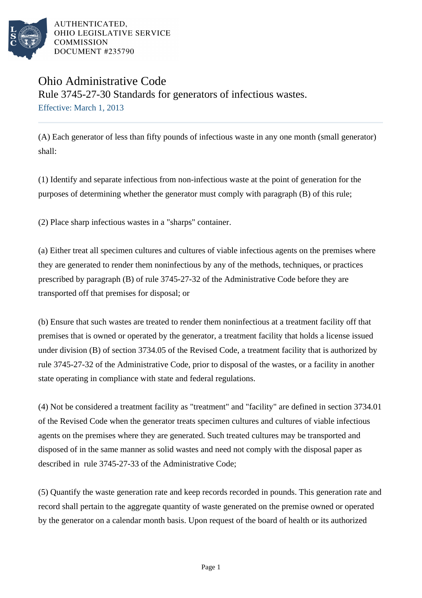

## Ohio Administrative Code Rule 3745-27-30 Standards for generators of infectious wastes. Effective: March 1, 2013

(A) Each generator of less than fifty pounds of infectious waste in any one month (small generator) shall:

(1) Identify and separate infectious from non-infectious waste at the point of generation for the purposes of determining whether the generator must comply with paragraph (B) of this rule;

(2) Place sharp infectious wastes in a "sharps" container.

(a) Either treat all specimen cultures and cultures of viable infectious agents on the premises where they are generated to render them noninfectious by any of the methods, techniques, or practices prescribed by paragraph (B) of rule 3745-27-32 of the Administrative Code before they are transported off that premises for disposal; or

(b) Ensure that such wastes are treated to render them noninfectious at a treatment facility off that premises that is owned or operated by the generator, a treatment facility that holds a license issued under division (B) of section 3734.05 of the Revised Code, a treatment facility that is authorized by rule 3745-27-32 of the Administrative Code, prior to disposal of the wastes, or a facility in another state operating in compliance with state and federal regulations.

(4) Not be considered a treatment facility as "treatment" and "facility" are defined in section 3734.01 of the Revised Code when the generator treats specimen cultures and cultures of viable infectious agents on the premises where they are generated. Such treated cultures may be transported and disposed of in the same manner as solid wastes and need not comply with the disposal paper as described in rule 3745-27-33 of the Administrative Code;

(5) Quantify the waste generation rate and keep records recorded in pounds. This generation rate and record shall pertain to the aggregate quantity of waste generated on the premise owned or operated by the generator on a calendar month basis. Upon request of the board of health or its authorized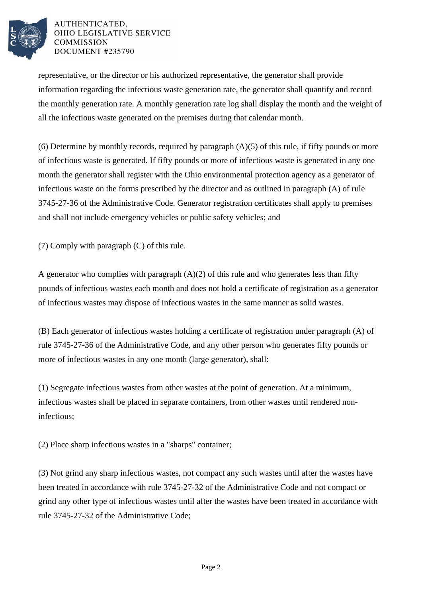

representative, or the director or his authorized representative, the generator shall provide information regarding the infectious waste generation rate, the generator shall quantify and record the monthly generation rate. A monthly generation rate log shall display the month and the weight of all the infectious waste generated on the premises during that calendar month.

(6) Determine by monthly records, required by paragraph  $(A)(5)$  of this rule, if fifty pounds or more of infectious waste is generated. If fifty pounds or more of infectious waste is generated in any one month the generator shall register with the Ohio environmental protection agency as a generator of infectious waste on the forms prescribed by the director and as outlined in paragraph (A) of rule 3745-27-36 of the Administrative Code. Generator registration certificates shall apply to premises and shall not include emergency vehicles or public safety vehicles; and

(7) Comply with paragraph (C) of this rule.

A generator who complies with paragraph  $(A)(2)$  of this rule and who generates less than fifty pounds of infectious wastes each month and does not hold a certificate of registration as a generator of infectious wastes may dispose of infectious wastes in the same manner as solid wastes.

(B) Each generator of infectious wastes holding a certificate of registration under paragraph (A) of rule 3745-27-36 of the Administrative Code, and any other person who generates fifty pounds or more of infectious wastes in any one month (large generator), shall:

(1) Segregate infectious wastes from other wastes at the point of generation. At a minimum, infectious wastes shall be placed in separate containers, from other wastes until rendered noninfectious;

(2) Place sharp infectious wastes in a "sharps" container;

(3) Not grind any sharp infectious wastes, not compact any such wastes until after the wastes have been treated in accordance with rule 3745-27-32 of the Administrative Code and not compact or grind any other type of infectious wastes until after the wastes have been treated in accordance with rule 3745-27-32 of the Administrative Code;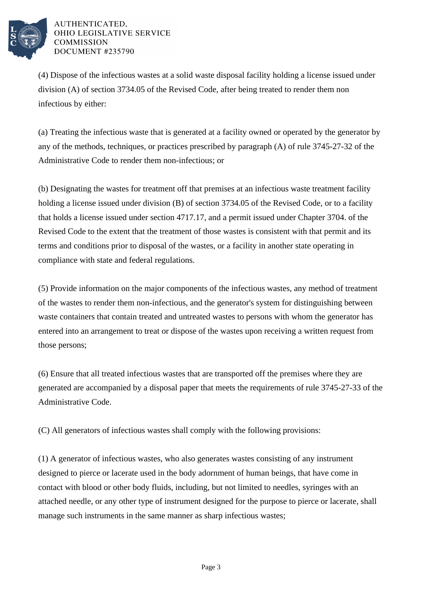

(4) Dispose of the infectious wastes at a solid waste disposal facility holding a license issued under division (A) of section 3734.05 of the Revised Code, after being treated to render them non infectious by either:

(a) Treating the infectious waste that is generated at a facility owned or operated by the generator by any of the methods, techniques, or practices prescribed by paragraph (A) of rule 3745-27-32 of the Administrative Code to render them non-infectious; or

(b) Designating the wastes for treatment off that premises at an infectious waste treatment facility holding a license issued under division (B) of section 3734.05 of the Revised Code, or to a facility that holds a license issued under section 4717.17, and a permit issued under Chapter 3704. of the Revised Code to the extent that the treatment of those wastes is consistent with that permit and its terms and conditions prior to disposal of the wastes, or a facility in another state operating in compliance with state and federal regulations.

(5) Provide information on the major components of the infectious wastes, any method of treatment of the wastes to render them non-infectious, and the generator's system for distinguishing between waste containers that contain treated and untreated wastes to persons with whom the generator has entered into an arrangement to treat or dispose of the wastes upon receiving a written request from those persons;

(6) Ensure that all treated infectious wastes that are transported off the premises where they are generated are accompanied by a disposal paper that meets the requirements of rule 3745-27-33 of the Administrative Code.

(C) All generators of infectious wastes shall comply with the following provisions:

(1) A generator of infectious wastes, who also generates wastes consisting of any instrument designed to pierce or lacerate used in the body adornment of human beings, that have come in contact with blood or other body fluids, including, but not limited to needles, syringes with an attached needle, or any other type of instrument designed for the purpose to pierce or lacerate, shall manage such instruments in the same manner as sharp infectious wastes;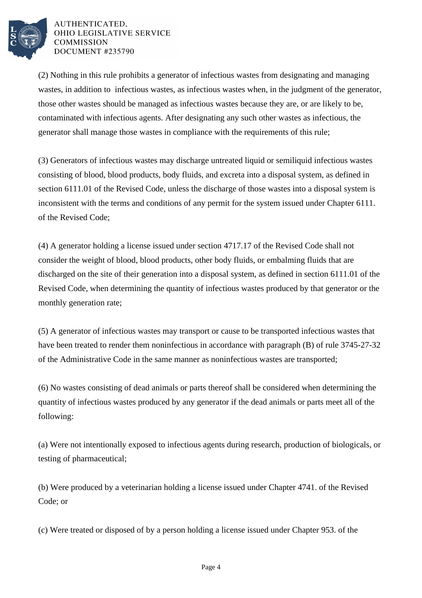

(2) Nothing in this rule prohibits a generator of infectious wastes from designating and managing wastes, in addition to infectious wastes, as infectious wastes when, in the judgment of the generator, those other wastes should be managed as infectious wastes because they are, or are likely to be, contaminated with infectious agents. After designating any such other wastes as infectious, the generator shall manage those wastes in compliance with the requirements of this rule;

(3) Generators of infectious wastes may discharge untreated liquid or semiliquid infectious wastes consisting of blood, blood products, body fluids, and excreta into a disposal system, as defined in section 6111.01 of the Revised Code, unless the discharge of those wastes into a disposal system is inconsistent with the terms and conditions of any permit for the system issued under Chapter 6111. of the Revised Code;

(4) A generator holding a license issued under section 4717.17 of the Revised Code shall not consider the weight of blood, blood products, other body fluids, or embalming fluids that are discharged on the site of their generation into a disposal system, as defined in section 6111.01 of the Revised Code, when determining the quantity of infectious wastes produced by that generator or the monthly generation rate;

(5) A generator of infectious wastes may transport or cause to be transported infectious wastes that have been treated to render them noninfectious in accordance with paragraph (B) of rule 3745-27-32 of the Administrative Code in the same manner as noninfectious wastes are transported;

(6) No wastes consisting of dead animals or parts thereof shall be considered when determining the quantity of infectious wastes produced by any generator if the dead animals or parts meet all of the following:

(a) Were not intentionally exposed to infectious agents during research, production of biologicals, or testing of pharmaceutical;

(b) Were produced by a veterinarian holding a license issued under Chapter 4741. of the Revised Code; or

(c) Were treated or disposed of by a person holding a license issued under Chapter 953. of the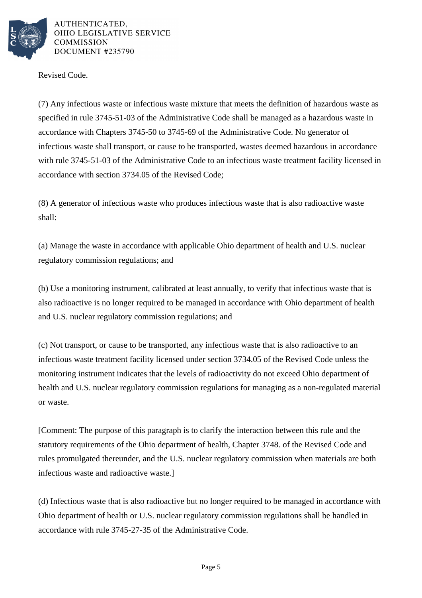

Revised Code.

(7) Any infectious waste or infectious waste mixture that meets the definition of hazardous waste as specified in rule 3745-51-03 of the Administrative Code shall be managed as a hazardous waste in accordance with Chapters 3745-50 to 3745-69 of the Administrative Code. No generator of infectious waste shall transport, or cause to be transported, wastes deemed hazardous in accordance with rule 3745-51-03 of the Administrative Code to an infectious waste treatment facility licensed in accordance with section 3734.05 of the Revised Code;

(8) A generator of infectious waste who produces infectious waste that is also radioactive waste shall:

(a) Manage the waste in accordance with applicable Ohio department of health and U.S. nuclear regulatory commission regulations; and

(b) Use a monitoring instrument, calibrated at least annually, to verify that infectious waste that is also radioactive is no longer required to be managed in accordance with Ohio department of health and U.S. nuclear regulatory commission regulations; and

(c) Not transport, or cause to be transported, any infectious waste that is also radioactive to an infectious waste treatment facility licensed under section 3734.05 of the Revised Code unless the monitoring instrument indicates that the levels of radioactivity do not exceed Ohio department of health and U.S. nuclear regulatory commission regulations for managing as a non-regulated material or waste.

[Comment: The purpose of this paragraph is to clarify the interaction between this rule and the statutory requirements of the Ohio department of health, Chapter 3748. of the Revised Code and rules promulgated thereunder, and the U.S. nuclear regulatory commission when materials are both infectious waste and radioactive waste.]

(d) Infectious waste that is also radioactive but no longer required to be managed in accordance with Ohio department of health or U.S. nuclear regulatory commission regulations shall be handled in accordance with rule 3745-27-35 of the Administrative Code.